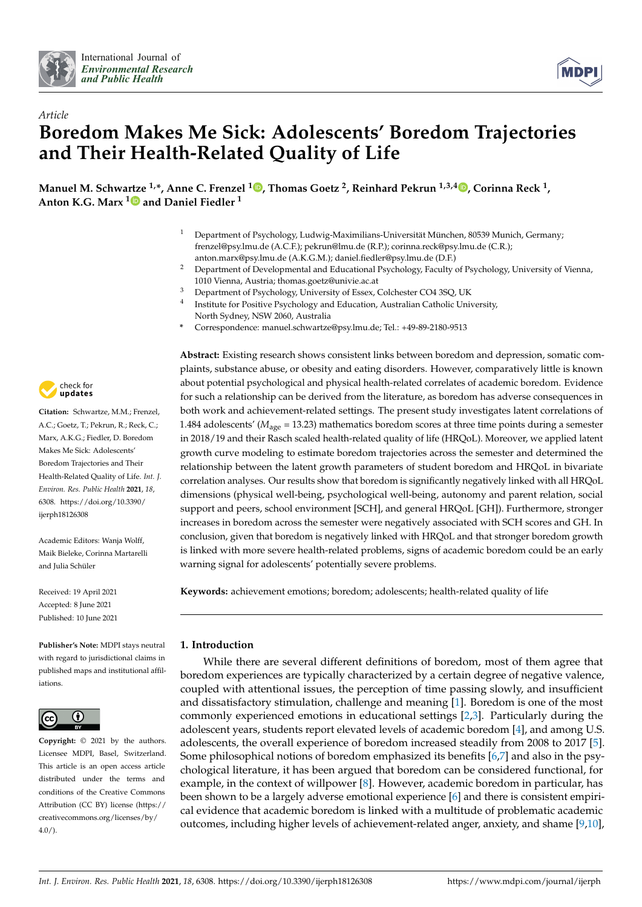

*Article*



# **Boredom Makes Me Sick: Adolescents' Boredom Trajectories and Their Health-Related Quality of Life**

**Manuel M. Schwartze 1,\*, Anne C. Frenzel <sup>1</sup> [,](https://orcid.org/0000-0002-9068-9926) Thomas Goetz <sup>2</sup> , Reinhard Pekrun 1,3,4 [,](https://orcid.org/0000-0003-4489-3827) Corinna Reck <sup>1</sup> , Anton K.G. Marx [1](https://orcid.org/0000-0001-9611-9759) and Daniel Fiedler <sup>1</sup>**

- <sup>1</sup> Department of Psychology, Ludwig-Maximilians-Universität München, 80539 Munich, Germany; frenzel@psy.lmu.de (A.C.F.); pekrun@lmu.de (R.P.); corinna.reck@psy.lmu.de (C.R.); anton.marx@psy.lmu.de (A.K.G.M.); daniel.fiedler@psy.lmu.de (D.F.)
- <sup>2</sup> Department of Developmental and Educational Psychology, Faculty of Psychology, University of Vienna, 1010 Vienna, Austria; thomas.goetz@univie.ac.at
- <sup>3</sup> Department of Psychology, University of Essex, Colchester CO4 3SQ, UK
- 4 Institute for Positive Psychology and Education, Australian Catholic University, North Sydney, NSW 2060, Australia
- **\*** Correspondence: manuel.schwartze@psy.lmu.de; Tel.: +49-89-2180-9513

**Abstract:** Existing research shows consistent links between boredom and depression, somatic complaints, substance abuse, or obesity and eating disorders. However, comparatively little is known about potential psychological and physical health-related correlates of academic boredom. Evidence for such a relationship can be derived from the literature, as boredom has adverse consequences in both work and achievement-related settings. The present study investigates latent correlations of 1.484 adolescents' (*M*age = 13.23) mathematics boredom scores at three time points during a semester in 2018/19 and their Rasch scaled health-related quality of life (HRQoL). Moreover, we applied latent growth curve modeling to estimate boredom trajectories across the semester and determined the relationship between the latent growth parameters of student boredom and HRQoL in bivariate correlation analyses. Our results show that boredom is significantly negatively linked with all HRQoL dimensions (physical well-being, psychological well-being, autonomy and parent relation, social support and peers, school environment [SCH], and general HRQoL [GH]). Furthermore, stronger increases in boredom across the semester were negatively associated with SCH scores and GH. In conclusion, given that boredom is negatively linked with HRQoL and that stronger boredom growth is linked with more severe health-related problems, signs of academic boredom could be an early warning signal for adolescents' potentially severe problems.

**Keywords:** achievement emotions; boredom; adolescents; health-related quality of life

# **1. Introduction**

While there are several different definitions of boredom, most of them agree that boredom experiences are typically characterized by a certain degree of negative valence, coupled with attentional issues, the perception of time passing slowly, and insufficient and dissatisfactory stimulation, challenge and meaning [\[1\]](#page-10-0). Boredom is one of the most commonly experienced emotions in educational settings [\[2,](#page-10-1)[3\]](#page-10-2). Particularly during the adolescent years, students report elevated levels of academic boredom [\[4\]](#page-10-3), and among U.S. adolescents, the overall experience of boredom increased steadily from 2008 to 2017 [\[5\]](#page-10-4). Some philosophical notions of boredom emphasized its benefits [\[6,](#page-10-5)[7\]](#page-10-6) and also in the psychological literature, it has been argued that boredom can be considered functional, for example, in the context of willpower [\[8\]](#page-10-7). However, academic boredom in particular, has been shown to be a largely adverse emotional experience [\[6\]](#page-10-5) and there is consistent empirical evidence that academic boredom is linked with a multitude of problematic academic outcomes, including higher levels of achievement-related anger, anxiety, and shame [\[9](#page-10-8)[,10\]](#page-10-9),



**Citation:** Schwartze, M.M.; Frenzel, A.C.; Goetz, T.; Pekrun, R.; Reck, C.; Marx, A.K.G.; Fiedler, D. Boredom Makes Me Sick: Adolescents' Boredom Trajectories and Their Health-Related Quality of Life. *Int. J. Environ. Res. Public Health* **2021**, *18*, 6308. [https://doi.org/10.3390/](https://doi.org/10.3390/ijerph18126308) [ijerph18126308](https://doi.org/10.3390/ijerph18126308)

Academic Editors: Wanja Wolff, Maik Bieleke, Corinna Martarelli and Julia Schüler

Received: 19 April 2021 Accepted: 8 June 2021 Published: 10 June 2021

**Publisher's Note:** MDPI stays neutral with regard to jurisdictional claims in published maps and institutional affiliations.



**Copyright:** © 2021 by the authors. Licensee MDPI, Basel, Switzerland. This article is an open access article distributed under the terms and conditions of the Creative Commons Attribution (CC BY) license (https:/[/](https://creativecommons.org/licenses/by/4.0/) [creativecommons.org/licenses/by/](https://creativecommons.org/licenses/by/4.0/) 4.0/).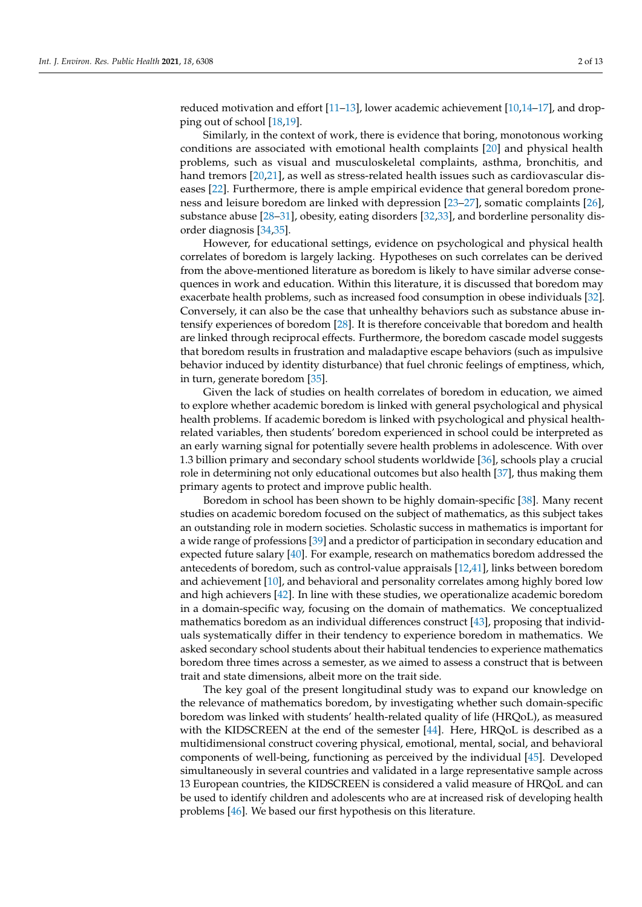reduced motivation and effort [\[11](#page-10-10)[–13\]](#page-10-11), lower academic achievement [\[10](#page-10-9)[,14–](#page-10-12)[17\]](#page-10-13), and dropping out of school [\[18,](#page-10-14)[19\]](#page-10-15).

Similarly, in the context of work, there is evidence that boring, monotonous working conditions are associated with emotional health complaints [\[20\]](#page-10-16) and physical health problems, such as visual and musculoskeletal complaints, asthma, bronchitis, and hand tremors [\[20,](#page-10-16)[21\]](#page-10-17), as well as stress-related health issues such as cardiovascular diseases [\[22\]](#page-10-18). Furthermore, there is ample empirical evidence that general boredom proneness and leisure boredom are linked with depression [\[23–](#page-10-19)[27\]](#page-10-20), somatic complaints [\[26\]](#page-10-21), substance abuse [\[28](#page-10-22)[–31\]](#page-10-23), obesity, eating disorders [\[32](#page-10-24)[,33\]](#page-11-0), and borderline personality disorder diagnosis [\[34,](#page-11-1)[35\]](#page-11-2).

However, for educational settings, evidence on psychological and physical health correlates of boredom is largely lacking. Hypotheses on such correlates can be derived from the above-mentioned literature as boredom is likely to have similar adverse consequences in work and education. Within this literature, it is discussed that boredom may exacerbate health problems, such as increased food consumption in obese individuals [\[32\]](#page-10-24). Conversely, it can also be the case that unhealthy behaviors such as substance abuse intensify experiences of boredom [\[28\]](#page-10-22). It is therefore conceivable that boredom and health are linked through reciprocal effects. Furthermore, the boredom cascade model suggests that boredom results in frustration and maladaptive escape behaviors (such as impulsive behavior induced by identity disturbance) that fuel chronic feelings of emptiness, which, in turn, generate boredom [\[35\]](#page-11-2).

Given the lack of studies on health correlates of boredom in education, we aimed to explore whether academic boredom is linked with general psychological and physical health problems. If academic boredom is linked with psychological and physical healthrelated variables, then students' boredom experienced in school could be interpreted as an early warning signal for potentially severe health problems in adolescence. With over 1.3 billion primary and secondary school students worldwide [\[36\]](#page-11-3), schools play a crucial role in determining not only educational outcomes but also health [\[37\]](#page-11-4), thus making them primary agents to protect and improve public health.

Boredom in school has been shown to be highly domain-specific [\[38\]](#page-11-5). Many recent studies on academic boredom focused on the subject of mathematics, as this subject takes an outstanding role in modern societies. Scholastic success in mathematics is important for a wide range of professions [\[39\]](#page-11-6) and a predictor of participation in secondary education and expected future salary [\[40\]](#page-11-7). For example, research on mathematics boredom addressed the antecedents of boredom, such as control-value appraisals [\[12](#page-10-25)[,41\]](#page-11-8), links between boredom and achievement [\[10\]](#page-10-9), and behavioral and personality correlates among highly bored low and high achievers [\[42\]](#page-11-9). In line with these studies, we operationalize academic boredom in a domain-specific way, focusing on the domain of mathematics. We conceptualized mathematics boredom as an individual differences construct [\[43\]](#page-11-10), proposing that individuals systematically differ in their tendency to experience boredom in mathematics. We asked secondary school students about their habitual tendencies to experience mathematics boredom three times across a semester, as we aimed to assess a construct that is between trait and state dimensions, albeit more on the trait side.

The key goal of the present longitudinal study was to expand our knowledge on the relevance of mathematics boredom, by investigating whether such domain-specific boredom was linked with students' health-related quality of life (HRQoL), as measured with the KIDSCREEN at the end of the semester [\[44\]](#page-11-11). Here, HRQoL is described as a multidimensional construct covering physical, emotional, mental, social, and behavioral components of well-being, functioning as perceived by the individual [\[45\]](#page-11-12). Developed simultaneously in several countries and validated in a large representative sample across 13 European countries, the KIDSCREEN is considered a valid measure of HRQoL and can be used to identify children and adolescents who are at increased risk of developing health problems [\[46\]](#page-11-13). We based our first hypothesis on this literature.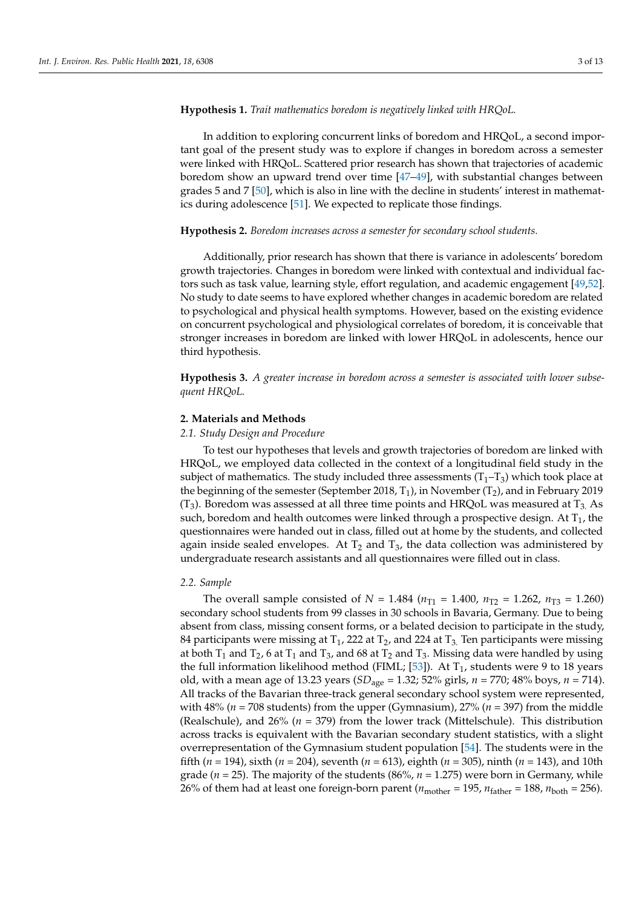#### **Hypothesis 1.** *Trait mathematics boredom is negatively linked with HRQoL.*

In addition to exploring concurrent links of boredom and HRQoL, a second important goal of the present study was to explore if changes in boredom across a semester were linked with HRQoL. Scattered prior research has shown that trajectories of academic boredom show an upward trend over time [\[47–](#page-11-14)[49\]](#page-11-15), with substantial changes between grades 5 and 7 [\[50\]](#page-11-16), which is also in line with the decline in students' interest in mathematics during adolescence [\[51\]](#page-11-17). We expected to replicate those findings.

#### **Hypothesis 2.** *Boredom increases across a semester for secondary school students.*

Additionally, prior research has shown that there is variance in adolescents' boredom growth trajectories. Changes in boredom were linked with contextual and individual factors such as task value, learning style, effort regulation, and academic engagement [\[49](#page-11-15)[,52\]](#page-11-18). No study to date seems to have explored whether changes in academic boredom are related to psychological and physical health symptoms. However, based on the existing evidence on concurrent psychological and physiological correlates of boredom, it is conceivable that stronger increases in boredom are linked with lower HRQoL in adolescents, hence our third hypothesis.

**Hypothesis 3.** *A greater increase in boredom across a semester is associated with lower subsequent HRQoL.*

#### **2. Materials and Methods**

#### *2.1. Study Design and Procedure*

To test our hypotheses that levels and growth trajectories of boredom are linked with HRQoL, we employed data collected in the context of a longitudinal field study in the subject of mathematics. The study included three assessments  $(T_1-T_3)$  which took place at the beginning of the semester (September 2018,  $T_1$ ), in November ( $T_2$ ), and in February 2019  $(T_3)$ . Boredom was assessed at all three time points and HRQoL was measured at  $T_3$  As such, boredom and health outcomes were linked through a prospective design. At  $T_1$ , the questionnaires were handed out in class, filled out at home by the students, and collected again inside sealed envelopes. At  $T_2$  and  $T_3$ , the data collection was administered by undergraduate research assistants and all questionnaires were filled out in class.

## *2.2. Sample*

The overall sample consisted of  $N = 1.484$  ( $n_{T1} = 1.400$ ,  $n_{T2} = 1.262$ ,  $n_{T3} = 1.260$ ) secondary school students from 99 classes in 30 schools in Bavaria, Germany. Due to being absent from class, missing consent forms, or a belated decision to participate in the study, 84 participants were missing at  $T_1$ , 222 at  $T_2$ , and 224 at  $T_3$ . Ten participants were missing at both  $T_1$  and  $T_2$ , 6 at  $T_1$  and  $T_3$ , and 68 at  $T_2$  and  $T_3$ . Missing data were handled by using the full information likelihood method (FIML; [\[53\]](#page-11-19)). At  $T_1$ , students were 9 to 18 years old, with a mean age of 13.23 years (*SD*age = 1.32; 52% girls, *n* = 770; 48% boys, *n* = 714). All tracks of the Bavarian three-track general secondary school system were represented, with 48% ( $n = 708$  students) from the upper (Gymnasium),  $27%$  ( $n = 397$ ) from the middle (Realschule), and 26% (*n* = 379) from the lower track (Mittelschule). This distribution across tracks is equivalent with the Bavarian secondary student statistics, with a slight overrepresentation of the Gymnasium student population [\[54\]](#page-11-20). The students were in the fifth (*n* = 194), sixth (*n* = 204), seventh (*n* = 613), eighth (*n* = 305), ninth (*n* = 143), and 10th grade (*n* = 25). The majority of the students (86%, *n* = 1.275) were born in Germany, while 26% of them had at least one foreign-born parent ( $n_{\text{mother}} = 195$ ,  $n_{\text{father}} = 188$ ,  $n_{\text{both}} = 256$ ).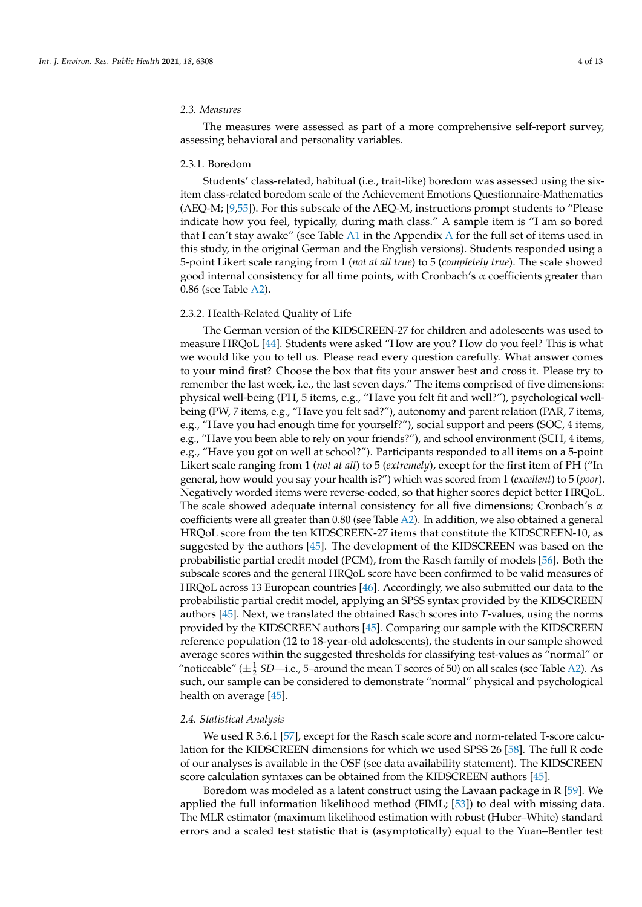#### *2.3. Measures*

The measures were assessed as part of a more comprehensive self-report survey, assessing behavioral and personality variables.

#### 2.3.1. Boredom

Students' class-related, habitual (i.e., trait-like) boredom was assessed using the sixitem class-related boredom scale of the Achievement Emotions Questionnaire-Mathematics (AEQ-M; [\[9](#page-10-8)[,55\]](#page-11-21)). For this subscale of the AEQ-M, instructions prompt students to "Please indicate how you feel, typically, during math class." A sample item is "I am so bored that I can't stay awake" (see Table [A1](#page-8-0) in the [A](#page-8-1)ppendix A for the full set of items used in this study, in the original German and the English versions). Students responded using a 5-point Likert scale ranging from 1 (*not at all true*) to 5 (*completely true*). The scale showed good internal consistency for all time points, with Cronbach's  $\alpha$  coefficients greater than 0.86 (see Table [A2\)](#page-9-0).

## 2.3.2. Health-Related Quality of Life

The German version of the KIDSCREEN-27 for children and adolescents was used to measure HRQoL [\[44\]](#page-11-11). Students were asked "How are you? How do you feel? This is what we would like you to tell us. Please read every question carefully. What answer comes to your mind first? Choose the box that fits your answer best and cross it. Please try to remember the last week, i.e., the last seven days." The items comprised of five dimensions: physical well-being (PH, 5 items, e.g., "Have you felt fit and well?"), psychological wellbeing (PW, 7 items, e.g., "Have you felt sad?"), autonomy and parent relation (PAR, 7 items, e.g., "Have you had enough time for yourself?"), social support and peers (SOC, 4 items, e.g., "Have you been able to rely on your friends?"), and school environment (SCH, 4 items, e.g., "Have you got on well at school?"). Participants responded to all items on a 5-point Likert scale ranging from 1 (*not at all*) to 5 (*extremely*), except for the first item of PH ("In general, how would you say your health is?") which was scored from 1 (*excellent*) to 5 (*poor*). Negatively worded items were reverse-coded, so that higher scores depict better HRQoL. The scale showed adequate internal consistency for all five dimensions; Cronbach's  $\alpha$ coefficients were all greater than 0.80 (see Table [A2\)](#page-9-0). In addition, we also obtained a general HRQoL score from the ten KIDSCREEN-27 items that constitute the KIDSCREEN-10, as suggested by the authors [\[45\]](#page-11-12). The development of the KIDSCREEN was based on the probabilistic partial credit model (PCM), from the Rasch family of models [\[56\]](#page-11-22). Both the subscale scores and the general HRQoL score have been confirmed to be valid measures of HRQoL across 13 European countries [\[46\]](#page-11-13). Accordingly, we also submitted our data to the probabilistic partial credit model, applying an SPSS syntax provided by the KIDSCREEN authors [\[45\]](#page-11-12). Next, we translated the obtained Rasch scores into *T*-values, using the norms provided by the KIDSCREEN authors [\[45\]](#page-11-12). Comparing our sample with the KIDSCREEN reference population (12 to 18-year-old adolescents), the students in our sample showed average scores within the suggested thresholds for classifying test-values as "normal" or "noticeable" ( $\pm \frac{1}{2}$  *SD*—i.e., 5–around the mean T scores of 50) on all scales (see Table [A2\)](#page-9-0). As such, our sample can be considered to demonstrate "normal" physical and psychological health on average [\[45\]](#page-11-12).

#### *2.4. Statistical Analysis*

We used R 3.6.1 [\[57\]](#page-11-23), except for the Rasch scale score and norm-related T-score calculation for the KIDSCREEN dimensions for which we used SPSS 26 [\[58\]](#page-11-24). The full R code of our analyses is available in the OSF (see data availability statement). The KIDSCREEN score calculation syntaxes can be obtained from the KIDSCREEN authors [\[45\]](#page-11-12).

Boredom was modeled as a latent construct using the Lavaan package in R [\[59\]](#page-11-25). We applied the full information likelihood method (FIML; [\[53\]](#page-11-19)) to deal with missing data. The MLR estimator (maximum likelihood estimation with robust (Huber–White) standard errors and a scaled test statistic that is (asymptotically) equal to the Yuan–Bentler test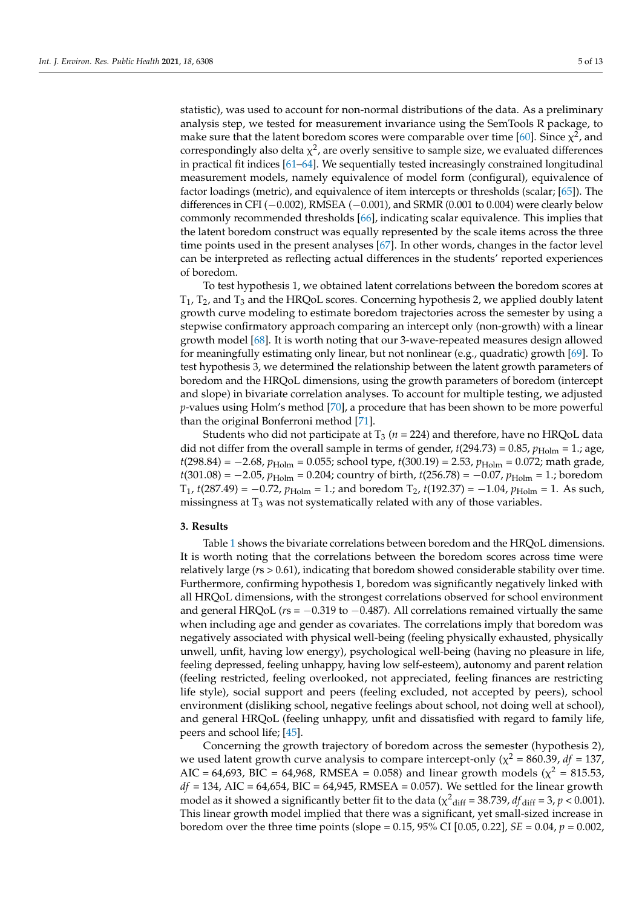statistic), was used to account for non-normal distributions of the data. As a preliminary analysis step, we tested for measurement invariance using the SemTools R package, to make sure that the latent boredom scores were comparable over time [\[60\]](#page-11-26). Since  $\chi^2$ , and correspondingly also delta  $\chi^2$ , are overly sensitive to sample size, we evaluated differences in practical fit indices [\[61](#page-11-27)[–64\]](#page-12-0). We sequentially tested increasingly constrained longitudinal measurement models, namely equivalence of model form (configural), equivalence of factor loadings (metric), and equivalence of item intercepts or thresholds (scalar; [\[65\]](#page-12-1)). The differences in CFI ( $-0.002$ ), RMSEA ( $-0.001$ ), and SRMR (0.001 to 0.004) were clearly below commonly recommended thresholds [\[66\]](#page-12-2), indicating scalar equivalence. This implies that the latent boredom construct was equally represented by the scale items across the three time points used in the present analyses [\[67\]](#page-12-3). In other words, changes in the factor level can be interpreted as reflecting actual differences in the students' reported experiences of boredom.

To test hypothesis 1, we obtained latent correlations between the boredom scores at  $T_1$ ,  $T_2$ , and  $T_3$  and the HRQoL scores. Concerning hypothesis 2, we applied doubly latent growth curve modeling to estimate boredom trajectories across the semester by using a stepwise confirmatory approach comparing an intercept only (non-growth) with a linear growth model [\[68\]](#page-12-4). It is worth noting that our 3-wave-repeated measures design allowed for meaningfully estimating only linear, but not nonlinear (e.g., quadratic) growth [\[69\]](#page-12-5). To test hypothesis 3, we determined the relationship between the latent growth parameters of boredom and the HRQoL dimensions, using the growth parameters of boredom (intercept and slope) in bivariate correlation analyses. To account for multiple testing, we adjusted *p*-values using Holm's method [\[70\]](#page-12-6), a procedure that has been shown to be more powerful than the original Bonferroni method [\[71\]](#page-12-7).

Students who did not participate at  $T_3$  ( $n = 224$ ) and therefore, have no HRQoL data did not differ from the overall sample in terms of gender,  $t(294.73) = 0.85$ ,  $p_{\text{Holm}} = 1$ .; age, *t*(298.84) = −2.68, *p*<sub>Holm</sub> = 0.055; school type, *t*(300.19) = 2.53, *p*<sub>Holm</sub> = 0.072; math grade, *t*(301.08) = −2.05, *p*<sub>Holm</sub> = 0.204; country of birth, *t*(256.78) = −0.07, *p*<sub>Holm</sub> = 1.; boredom  $T_1$ , *t*(287.49) = −0.72,  $p_{\text{Holm}}$  = 1.; and boredom  $T_2$ , *t*(192.37) = −1.04,  $p_{\text{Holm}}$  = 1. As such, missingness at  $T_3$  was not systematically related with any of those variables.

## **3. Results**

Table [1](#page-5-0) shows the bivariate correlations between boredom and the HRQoL dimensions. It is worth noting that the correlations between the boredom scores across time were relatively large (*r*s > 0.61), indicating that boredom showed considerable stability over time. Furthermore, confirming hypothesis 1, boredom was significantly negatively linked with all HRQoL dimensions, with the strongest correlations observed for school environment and general HRQoL (*r*s = −0.319 to −0.487). All correlations remained virtually the same when including age and gender as covariates. The correlations imply that boredom was negatively associated with physical well-being (feeling physically exhausted, physically unwell, unfit, having low energy), psychological well-being (having no pleasure in life, feeling depressed, feeling unhappy, having low self-esteem), autonomy and parent relation (feeling restricted, feeling overlooked, not appreciated, feeling finances are restricting life style), social support and peers (feeling excluded, not accepted by peers), school environment (disliking school, negative feelings about school, not doing well at school), and general HRQoL (feeling unhappy, unfit and dissatisfied with regard to family life, peers and school life; [\[45\]](#page-11-12).

Concerning the growth trajectory of boredom across the semester (hypothesis 2), we used latent growth curve analysis to compare intercept-only ( $\chi^2$  = 860.39, *df* = 137, AIC = 64,693, BIC = 64,968, RMSEA = 0.058) and linear growth models ( $\chi^2$  = 815.53,  $df = 134$ , AIC = 64,654, BIC = 64,945, RMSEA = 0.057). We settled for the linear growth model as it showed a significantly better fit to the data ( $\chi^2$ <sub>diff</sub> = 38.739,  $df$ <sub>diff</sub> = 3,  $p$  < 0.001). This linear growth model implied that there was a significant, yet small-sized increase in boredom over the three time points (slope =  $0.15$ ,  $95\%$  CI [ $0.05$ ,  $0.22$ ], *SE* =  $0.04$ ,  $p = 0.002$ ,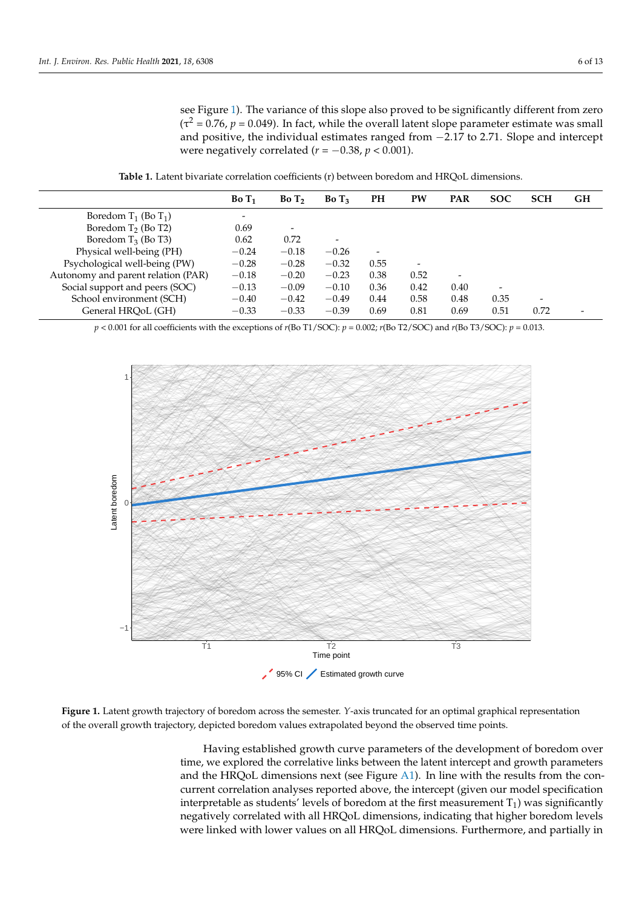see Figure [1\)](#page-5-1). The variance of this slope also proved to be significantly different from zero  $(\tau^2 = 0.76, p = 0.049)$ . In fact, while the overall latent slope parameter estimate was small and positive, the individual estimates ranged from −2.17 to 2.71. Slope and intercept were negatively correlated ( $r = -0.38$ ,  $p < 0.001$ ).

**Table 1.** Latent bivariate correlation coefficients (r) between boredom and HRQoL dimensions.

<span id="page-5-0"></span>

|                                    | BoT <sub>1</sub> | BoT <sub>2</sub>             | BoT <sub>3</sub> | PH   | PW                       | <b>PAR</b>               | <b>SOC</b> | <b>SCH</b> | <b>GH</b> |
|------------------------------------|------------------|------------------------------|------------------|------|--------------------------|--------------------------|------------|------------|-----------|
| Boredom $T_1$ (Bo $T_1$ )          |                  |                              |                  |      |                          |                          |            |            |           |
| Boredom $T_2$ (Bo T2)              | 0.69             | $\qquad \qquad \blacksquare$ |                  |      |                          |                          |            |            |           |
| Boredom $T_3$ (Bo T3)              | 0.62             | 0.72                         |                  |      |                          |                          |            |            |           |
| Physical well-being (PH)           | $-0.24$          | $-0.18$                      | $-0.26$          | ۰    |                          |                          |            |            |           |
| Psychological well-being (PW)      | $-0.28$          | $-0.28$                      | $-0.32$          | 0.55 | $\overline{\phantom{a}}$ |                          |            |            |           |
| Autonomy and parent relation (PAR) | $-0.18$          | $-0.20$                      | $-0.23$          | 0.38 | 0.52                     | $\overline{\phantom{a}}$ |            |            |           |
| Social support and peers (SOC)     | $-0.13$          | $-0.09$                      | $-0.10$          | 0.36 | 0.42                     | 0.40                     |            |            |           |
| School environment (SCH)           | $-0.40$          | $-0.42$                      | $-0.49$          | 0.44 | 0.58                     | 0.48                     | 0.35       |            |           |
| General HRQoL (GH)                 | $-0.33$          | $-0.33$                      | $-0.39$          | 0.69 | 0.81                     | 0.69                     | 0.51       | 0.72       |           |

*p* < 0.001 for all coefficients with the exceptions of *r*(Bo T1/SOC): *p* = 0.002; *r*(Bo T2/SOC) and *r*(Bo T3/SOC): *p* = 0.013.

<span id="page-5-1"></span>

**Figure 1.** Latent growth trajectory of boredom across the semester. *Y*-axis truncated for an optimal graphical representation of the overall growth trajectory, depicted boredom values extrapolated beyond the observed time points.

Having established growth curve parameters of the development of boredom over time, we explored the correlative links between the latent intercept and growth parameters and the HRQoL dimensions next (see Figure [A1\)](#page-9-1). In line with the results from the concurrent correlation analyses reported above, the intercept (given our model specification interpretable as students' levels of boredom at the first measurement  $T_1$ ) was significantly negatively correlated with all HRQoL dimensions, indicating that higher boredom levels were linked with lower values on all HRQoL dimensions. Furthermore, and partially in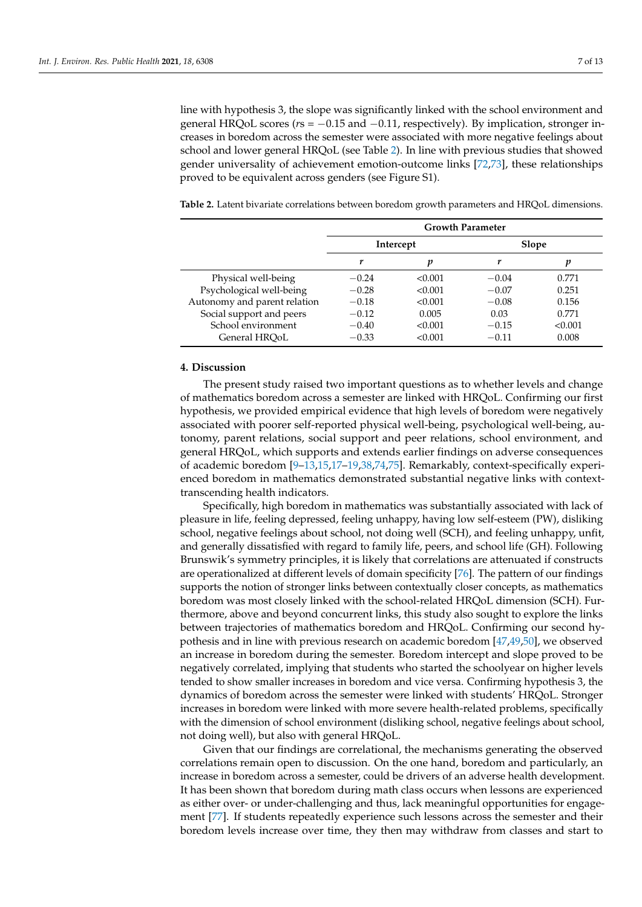line with hypothesis 3, the slope was significantly linked with the school environment and general HRQoL scores (*r*s = −0.15 and −0.11, respectively). By implication, stronger increases in boredom across the semester were associated with more negative feelings about school and lower general HRQoL (see Table [2\)](#page-6-0). In line with previous studies that showed gender universality of achievement emotion-outcome links [\[72](#page-12-8)[,73\]](#page-12-9), these relationships proved to be equivalent across genders (see Figure S1).

|                              | <b>Growth Parameter</b> |           |         |         |  |  |
|------------------------------|-------------------------|-----------|---------|---------|--|--|
|                              |                         | Intercept |         | Slope   |  |  |
|                              |                         | p         | r       | р       |  |  |
| Physical well-being          | $-0.24$                 | < 0.001   | $-0.04$ | 0.771   |  |  |
| Psychological well-being     | $-0.28$                 | < 0.001   | $-0.07$ | 0.251   |  |  |
| Autonomy and parent relation | $-0.18$                 | < 0.001   | $-0.08$ | 0.156   |  |  |
| Social support and peers     | $-0.12$                 | 0.005     | 0.03    | 0.771   |  |  |
| School environment           | $-0.40$                 | < 0.001   | $-0.15$ | < 0.001 |  |  |
| General HROoL                | $-0.33$                 | < 0.001   | $-0.11$ | 0.008   |  |  |

<span id="page-6-0"></span>**Table 2.** Latent bivariate correlations between boredom growth parameters and HRQoL dimensions.

#### **4. Discussion**

The present study raised two important questions as to whether levels and change of mathematics boredom across a semester are linked with HRQoL. Confirming our first hypothesis, we provided empirical evidence that high levels of boredom were negatively associated with poorer self-reported physical well-being, psychological well-being, autonomy, parent relations, social support and peer relations, school environment, and general HRQoL, which supports and extends earlier findings on adverse consequences of academic boredom [\[9](#page-10-8)[–13,](#page-10-11)[15,](#page-10-26)[17](#page-10-13)[–19](#page-10-15)[,38,](#page-11-5)[74](#page-12-10)[,75\]](#page-12-11). Remarkably, context-specifically experienced boredom in mathematics demonstrated substantial negative links with contexttranscending health indicators.

Specifically, high boredom in mathematics was substantially associated with lack of pleasure in life, feeling depressed, feeling unhappy, having low self-esteem (PW), disliking school, negative feelings about school, not doing well (SCH), and feeling unhappy, unfit, and generally dissatisfied with regard to family life, peers, and school life (GH). Following Brunswik's symmetry principles, it is likely that correlations are attenuated if constructs are operationalized at different levels of domain specificity [\[76\]](#page-12-12). The pattern of our findings supports the notion of stronger links between contextually closer concepts, as mathematics boredom was most closely linked with the school-related HRQoL dimension (SCH). Furthermore, above and beyond concurrent links, this study also sought to explore the links between trajectories of mathematics boredom and HRQoL. Confirming our second hypothesis and in line with previous research on academic boredom [\[47](#page-11-14)[,49](#page-11-15)[,50\]](#page-11-16), we observed an increase in boredom during the semester. Boredom intercept and slope proved to be negatively correlated, implying that students who started the schoolyear on higher levels tended to show smaller increases in boredom and vice versa. Confirming hypothesis 3, the dynamics of boredom across the semester were linked with students' HRQoL. Stronger increases in boredom were linked with more severe health-related problems, specifically with the dimension of school environment (disliking school, negative feelings about school, not doing well), but also with general HRQoL.

Given that our findings are correlational, the mechanisms generating the observed correlations remain open to discussion. On the one hand, boredom and particularly, an increase in boredom across a semester, could be drivers of an adverse health development. It has been shown that boredom during math class occurs when lessons are experienced as either over- or under-challenging and thus, lack meaningful opportunities for engagement [\[77\]](#page-12-13). If students repeatedly experience such lessons across the semester and their boredom levels increase over time, they then may withdraw from classes and start to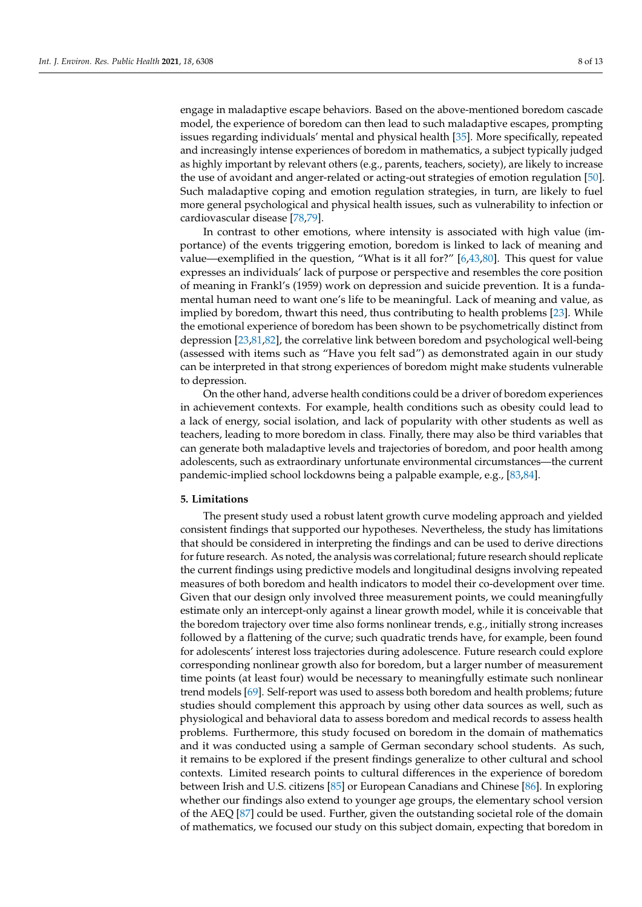engage in maladaptive escape behaviors. Based on the above-mentioned boredom cascade model, the experience of boredom can then lead to such maladaptive escapes, prompting issues regarding individuals' mental and physical health [\[35\]](#page-11-2). More specifically, repeated and increasingly intense experiences of boredom in mathematics, a subject typically judged as highly important by relevant others (e.g., parents, teachers, society), are likely to increase the use of avoidant and anger-related or acting-out strategies of emotion regulation [\[50\]](#page-11-16). Such maladaptive coping and emotion regulation strategies, in turn, are likely to fuel more general psychological and physical health issues, such as vulnerability to infection or cardiovascular disease [\[78,](#page-12-14)[79\]](#page-12-15).

In contrast to other emotions, where intensity is associated with high value (importance) of the events triggering emotion, boredom is linked to lack of meaning and value—exemplified in the question, "What is it all for?" [\[6,](#page-10-5)[43,](#page-11-10)[80\]](#page-12-16). This quest for value expresses an individuals' lack of purpose or perspective and resembles the core position of meaning in Frankl's (1959) work on depression and suicide prevention. It is a fundamental human need to want one's life to be meaningful. Lack of meaning and value, as implied by boredom, thwart this need, thus contributing to health problems [\[23\]](#page-10-19). While the emotional experience of boredom has been shown to be psychometrically distinct from depression [\[23](#page-10-19)[,81](#page-12-17)[,82\]](#page-12-18), the correlative link between boredom and psychological well-being (assessed with items such as "Have you felt sad") as demonstrated again in our study can be interpreted in that strong experiences of boredom might make students vulnerable to depression.

On the other hand, adverse health conditions could be a driver of boredom experiences in achievement contexts. For example, health conditions such as obesity could lead to a lack of energy, social isolation, and lack of popularity with other students as well as teachers, leading to more boredom in class. Finally, there may also be third variables that can generate both maladaptive levels and trajectories of boredom, and poor health among adolescents, such as extraordinary unfortunate environmental circumstances—the current pandemic-implied school lockdowns being a palpable example, e.g., [\[83,](#page-12-19)[84\]](#page-12-20).

#### **5. Limitations**

The present study used a robust latent growth curve modeling approach and yielded consistent findings that supported our hypotheses. Nevertheless, the study has limitations that should be considered in interpreting the findings and can be used to derive directions for future research. As noted, the analysis was correlational; future research should replicate the current findings using predictive models and longitudinal designs involving repeated measures of both boredom and health indicators to model their co-development over time. Given that our design only involved three measurement points, we could meaningfully estimate only an intercept-only against a linear growth model, while it is conceivable that the boredom trajectory over time also forms nonlinear trends, e.g., initially strong increases followed by a flattening of the curve; such quadratic trends have, for example, been found for adolescents' interest loss trajectories during adolescence. Future research could explore corresponding nonlinear growth also for boredom, but a larger number of measurement time points (at least four) would be necessary to meaningfully estimate such nonlinear trend models [\[69\]](#page-12-5). Self-report was used to assess both boredom and health problems; future studies should complement this approach by using other data sources as well, such as physiological and behavioral data to assess boredom and medical records to assess health problems. Furthermore, this study focused on boredom in the domain of mathematics and it was conducted using a sample of German secondary school students. As such, it remains to be explored if the present findings generalize to other cultural and school contexts. Limited research points to cultural differences in the experience of boredom between Irish and U.S. citizens [\[85\]](#page-12-21) or European Canadians and Chinese [\[86\]](#page-12-22). In exploring whether our findings also extend to younger age groups, the elementary school version of the AEQ [\[87\]](#page-12-23) could be used. Further, given the outstanding societal role of the domain of mathematics, we focused our study on this subject domain, expecting that boredom in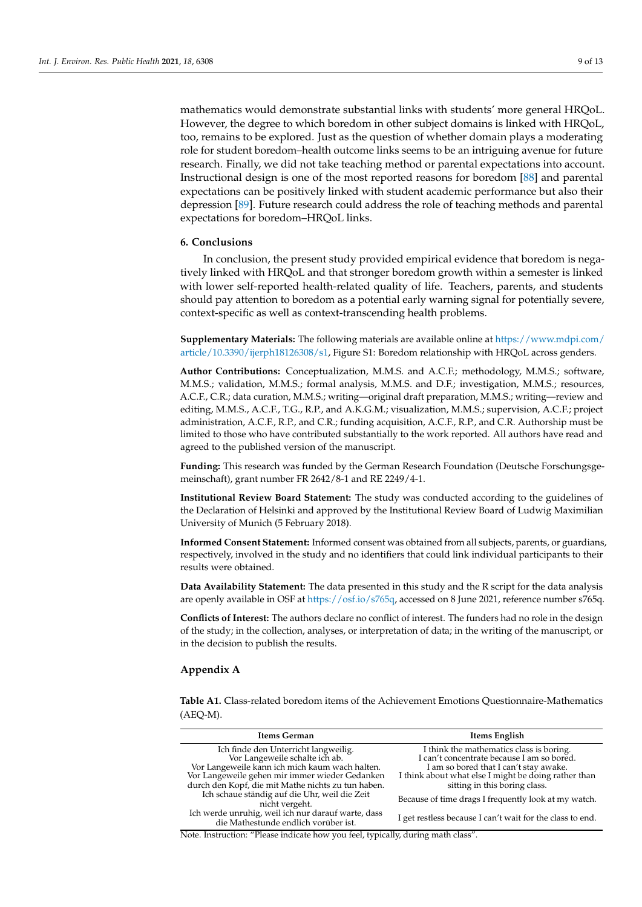mathematics would demonstrate substantial links with students' more general HRQoL. However, the degree to which boredom in other subject domains is linked with HRQoL, too, remains to be explored. Just as the question of whether domain plays a moderating role for student boredom–health outcome links seems to be an intriguing avenue for future research. Finally, we did not take teaching method or parental expectations into account. Instructional design is one of the most reported reasons for boredom [\[88\]](#page-12-24) and parental expectations can be positively linked with student academic performance but also their depression [\[89\]](#page-12-25). Future research could address the role of teaching methods and parental expectations for boredom–HRQoL links.

## **6. Conclusions**

In conclusion, the present study provided empirical evidence that boredom is negatively linked with HRQoL and that stronger boredom growth within a semester is linked with lower self-reported health-related quality of life. Teachers, parents, and students should pay attention to boredom as a potential early warning signal for potentially severe, context-specific as well as context-transcending health problems.

**Supplementary Materials:** The following materials are available online at [https://www.mdpi.com/](https://www.mdpi.com/article/10.3390/ijerph18126308/s1) [article/10.3390/ijerph18126308/s1,](https://www.mdpi.com/article/10.3390/ijerph18126308/s1) Figure S1: Boredom relationship with HRQoL across genders.

**Author Contributions:** Conceptualization, M.M.S. and A.C.F.; methodology, M.M.S.; software, M.M.S.; validation, M.M.S.; formal analysis, M.M.S. and D.F.; investigation, M.M.S.; resources, A.C.F., C.R.; data curation, M.M.S.; writing—original draft preparation, M.M.S.; writing—review and editing, M.M.S., A.C.F., T.G., R.P., and A.K.G.M.; visualization, M.M.S.; supervision, A.C.F.; project administration, A.C.F., R.P., and C.R.; funding acquisition, A.C.F., R.P., and C.R. Authorship must be limited to those who have contributed substantially to the work reported. All authors have read and agreed to the published version of the manuscript.

**Funding:** This research was funded by the German Research Foundation (Deutsche Forschungsgemeinschaft), grant number FR 2642/8-1 and RE 2249/4-1.

**Institutional Review Board Statement:** The study was conducted according to the guidelines of the Declaration of Helsinki and approved by the Institutional Review Board of Ludwig Maximilian University of Munich (5 February 2018).

**Informed Consent Statement:** Informed consent was obtained from all subjects, parents, or guardians, respectively, involved in the study and no identifiers that could link individual participants to their results were obtained.

**Data Availability Statement:** The data presented in this study and the R script for the data analysis are openly available in OSF at [https://osf.io/s765q,](https://osf.io/s765q) accessed on 8 June 2021, reference number s765q.

**Conflicts of Interest:** The authors declare no conflict of interest. The funders had no role in the design of the study; in the collection, analyses, or interpretation of data; in the writing of the manuscript, or in the decision to publish the results.

## <span id="page-8-1"></span>**Appendix A**

<span id="page-8-0"></span>**Table A1.** Class-related boredom items of the Achievement Emotions Questionnaire-Mathematics (AEQ-M).

| Items German                                                                                                                                                                                                                     | Items English                                                                                                                                                                                                             |  |  |  |  |
|----------------------------------------------------------------------------------------------------------------------------------------------------------------------------------------------------------------------------------|---------------------------------------------------------------------------------------------------------------------------------------------------------------------------------------------------------------------------|--|--|--|--|
| Ich finde den Unterricht langweilig.<br>Vor Langeweile schalte ich ab.<br>Vor Langeweile kann ich mich kaum wach halten.<br>Vor Langeweile gehen mir immer wieder Gedanken<br>durch den Kopf, die mit Mathe nichts zu tun haben. | I think the mathematics class is boring.<br>I can't concentrate because I am so bored.<br>I am so bored that I can't stay awake.<br>I think about what else I might be doing rather than<br>sitting in this boring class. |  |  |  |  |
| Ich schaue ständig auf die Uhr, weil die Zeit<br>nicht vergeht.                                                                                                                                                                  | Because of time drags I frequently look at my watch.                                                                                                                                                                      |  |  |  |  |
| Ich werde unruhig, weil ich nur darauf warte, dass<br>die Mathestunde endlich vorüber ist.                                                                                                                                       | I get restless because I can't wait for the class to end.                                                                                                                                                                 |  |  |  |  |

Note. Instruction: "Please indicate how you feel, typically, during math class".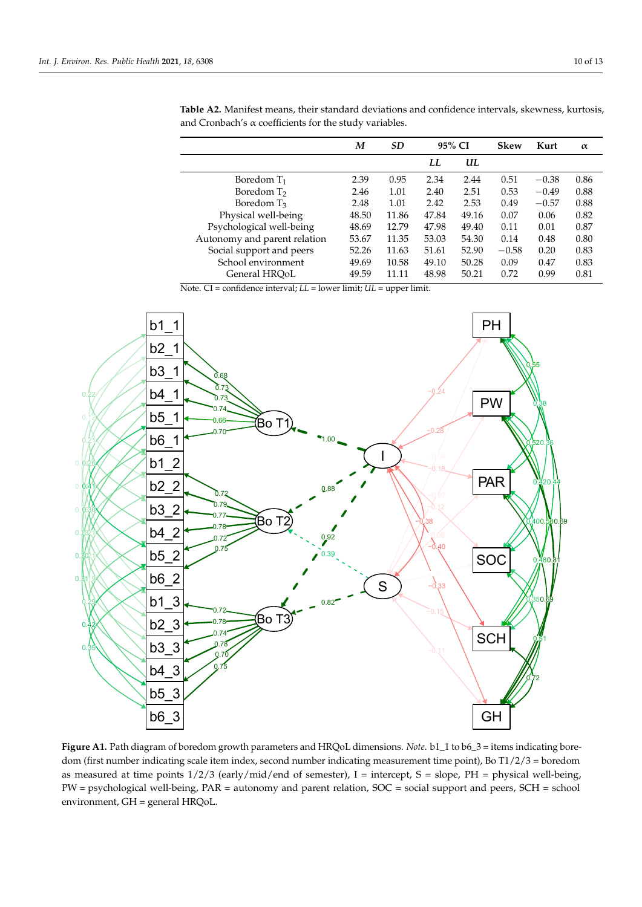|                              | M     | <b>SD</b> |       | 95% CI |         | Kurt    | $\alpha$ |
|------------------------------|-------|-----------|-------|--------|---------|---------|----------|
|                              |       |           | LL    | UL     |         |         |          |
| Boredom $T_1$                | 2.39  | 0.95      | 2.34  | 2.44   | 0.51    | $-0.38$ | 0.86     |
| Boredom T <sub>2</sub>       | 2.46  | 1.01      | 2.40  | 2.51   | 0.53    | $-0.49$ | 0.88     |
| Boredom T <sub>3</sub>       | 2.48  | 1.01      | 2.42  | 2.53   | 0.49    | $-0.57$ | 0.88     |
| Physical well-being          | 48.50 | 11.86     | 47.84 | 49.16  | 0.07    | 0.06    | 0.82     |
| Psychological well-being     | 48.69 | 12.79     | 47.98 | 49.40  | 0.11    | 0.01    | 0.87     |
| Autonomy and parent relation | 53.67 | 11.35     | 53.03 | 54.30  | 0.14    | 0.48    | 0.80     |
| Social support and peers     | 52.26 | 11.63     | 51.61 | 52.90  | $-0.58$ | 0.20    | 0.83     |
| School environment           | 49.69 | 10.58     | 49.10 | 50.28  | 0.09    | 0.47    | 0.83     |
| General HROoL                | 49.59 | 11.11     | 48.98 | 50.21  | 0.72    | 0.99    | 0.81     |

<span id="page-9-0"></span>**Table A2.** Manifest means, their standard deviations and confidence intervals, skewness, kurtosis, and Cronbach's  $\alpha$  coefficients for the study variables.

Note. CI = confidence interval; *LL* = lower limit; *UL* = upper limit.

<span id="page-9-1"></span>

Figure A1. Path diagram of boredom growth parameters and HRQoL dimensions. Note. b1\_1 to b6\_3 = items indicating boredom (first number indicating scale item index, second number indicating measurement time point), Bo T1/2/3 = boredom as measured at time points  $1/2/3$  (early/mid/end of semester), I = intercept, S = slope, PH = physical well-being,  $PW =$  psychological well-being,  $PAR =$  autonomy and parent relation,  $SOC =$  social support and peers,  $SCH =$  school ment, GH = general HRQoL. environment, GH = general HRQoL.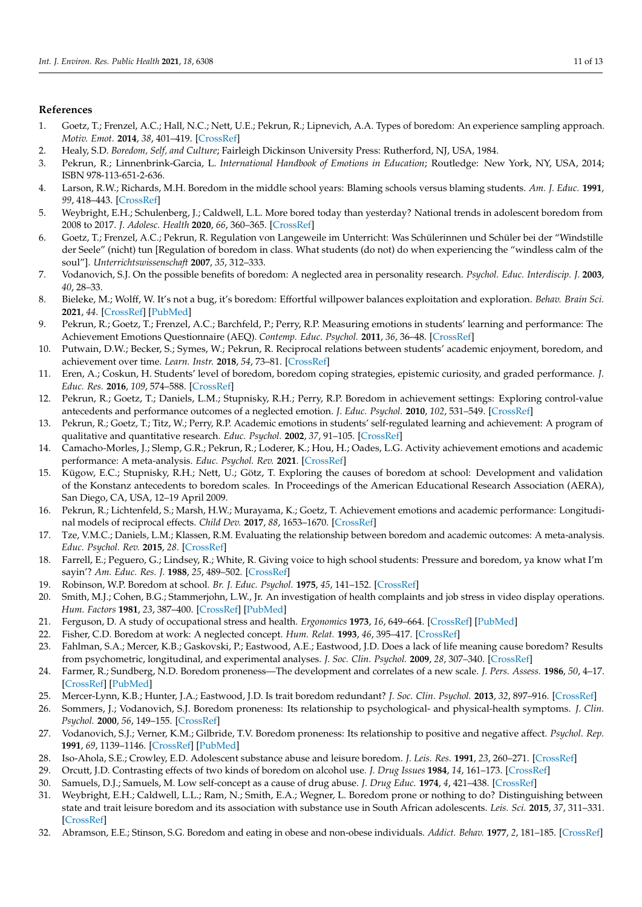## **References**

- <span id="page-10-0"></span>1. Goetz, T.; Frenzel, A.C.; Hall, N.C.; Nett, U.E.; Pekrun, R.; Lipnevich, A.A. Types of boredom: An experience sampling approach. *Motiv. Emot.* **2014**, *38*, 401–419. [\[CrossRef\]](http://doi.org/10.1007/s11031-013-9385-y)
- <span id="page-10-1"></span>2. Healy, S.D. *Boredom, Self, and Culture*; Fairleigh Dickinson University Press: Rutherford, NJ, USA, 1984.
- <span id="page-10-2"></span>3. Pekrun, R.; Linnenbrink-Garcia, L. *International Handbook of Emotions in Education*; Routledge: New York, NY, USA, 2014; ISBN 978-113-651-2-636.
- <span id="page-10-3"></span>4. Larson, R.W.; Richards, M.H. Boredom in the middle school years: Blaming schools versus blaming students. *Am. J. Educ.* **1991**, *99*, 418–443. [\[CrossRef\]](http://doi.org/10.1086/443992)
- <span id="page-10-4"></span>5. Weybright, E.H.; Schulenberg, J.; Caldwell, L.L. More bored today than yesterday? National trends in adolescent boredom from 2008 to 2017. *J. Adolesc. Health* **2020**, *66*, 360–365. [\[CrossRef\]](http://doi.org/10.1016/j.jadohealth.2019.09.021)
- <span id="page-10-5"></span>6. Goetz, T.; Frenzel, A.C.; Pekrun, R. Regulation von Langeweile im Unterricht: Was Schülerinnen und Schüler bei der "Windstille der Seele" (nicht) tun [Regulation of boredom in class. What students (do not) do when experiencing the "windless calm of the soul"]. *Unterrichtswissenschaft* **2007**, *35*, 312–333.
- <span id="page-10-6"></span>7. Vodanovich, S.J. On the possible benefits of boredom: A neglected area in personality research. *Psychol. Educ. Interdiscip. J.* **2003**, *40*, 28–33.
- <span id="page-10-7"></span>8. Bieleke, M.; Wolff, W. It's not a bug, it's boredom: Effortful willpower balances exploitation and exploration. *Behav. Brain Sci.* **2021**, *44*. [\[CrossRef\]](http://doi.org/10.1017/S0140525X20001053) [\[PubMed\]](http://www.ncbi.nlm.nih.gov/pubmed/33899724)
- <span id="page-10-8"></span>9. Pekrun, R.; Goetz, T.; Frenzel, A.C.; Barchfeld, P.; Perry, R.P. Measuring emotions in students' learning and performance: The Achievement Emotions Questionnaire (AEQ). *Contemp. Educ. Psychol.* **2011**, *36*, 36–48. [\[CrossRef\]](http://doi.org/10.1016/j.cedpsych.2010.10.002)
- <span id="page-10-9"></span>10. Putwain, D.W.; Becker, S.; Symes, W.; Pekrun, R. Reciprocal relations between students' academic enjoyment, boredom, and achievement over time. *Learn. Instr.* **2018**, *54*, 73–81. [\[CrossRef\]](http://doi.org/10.1016/j.learninstruc.2017.08.004)
- <span id="page-10-10"></span>11. Eren, A.; Coskun, H. Students' level of boredom, boredom coping strategies, epistemic curiosity, and graded performance. *J. Educ. Res.* **2016**, *109*, 574–588. [\[CrossRef\]](http://doi.org/10.1080/00220671.2014.999364)
- <span id="page-10-25"></span>12. Pekrun, R.; Goetz, T.; Daniels, L.M.; Stupnisky, R.H.; Perry, R.P. Boredom in achievement settings: Exploring control-value antecedents and performance outcomes of a neglected emotion. *J. Educ. Psychol.* **2010**, *102*, 531–549. [\[CrossRef\]](http://doi.org/10.1037/a0019243)
- <span id="page-10-11"></span>13. Pekrun, R.; Goetz, T.; Titz, W.; Perry, R.P. Academic emotions in students' self-regulated learning and achievement: A program of qualitative and quantitative research. *Educ. Psychol.* **2002**, *37*, 91–105. [\[CrossRef\]](http://doi.org/10.1207/S15326985EP3702_4)
- <span id="page-10-12"></span>14. Camacho-Morles, J.; Slemp, G.R.; Pekrun, R.; Loderer, K.; Hou, H.; Oades, L.G. Activity achievement emotions and academic performance: A meta-analysis. *Educ. Psychol. Rev.* **2021**. [\[CrossRef\]](http://doi.org/10.1007/s10648-020-09585-3)
- <span id="page-10-26"></span>15. Kügow, E.C.; Stupnisky, R.H.; Nett, U.; Götz, T. Exploring the causes of boredom at school: Development and validation of the Konstanz antecedents to boredom scales. In Proceedings of the American Educational Research Association (AERA), San Diego, CA, USA, 12–19 April 2009.
- 16. Pekrun, R.; Lichtenfeld, S.; Marsh, H.W.; Murayama, K.; Goetz, T. Achievement emotions and academic performance: Longitudinal models of reciprocal effects. *Child Dev.* **2017**, *88*, 1653–1670. [\[CrossRef\]](http://doi.org/10.1111/cdev.12704)
- <span id="page-10-13"></span>17. Tze, V.M.C.; Daniels, L.M.; Klassen, R.M. Evaluating the relationship between boredom and academic outcomes: A meta-analysis. *Educ. Psychol. Rev.* **2015**, *28*. [\[CrossRef\]](http://doi.org/10.1007/s10648-015-9301-y)
- <span id="page-10-14"></span>18. Farrell, E.; Peguero, G.; Lindsey, R.; White, R. Giving voice to high school students: Pressure and boredom, ya know what I'm sayin'? *Am. Educ. Res. J.* **1988**, *25*, 489–502. [\[CrossRef\]](http://doi.org/10.3102/00028312025004489)
- <span id="page-10-15"></span>19. Robinson, W.P. Boredom at school. *Br. J. Educ. Psychol.* **1975**, *45*, 141–152. [\[CrossRef\]](http://doi.org/10.1111/j.2044-8279.1975.tb03239.x)
- <span id="page-10-16"></span>20. Smith, M.J.; Cohen, B.G.; Stammerjohn, L.W., Jr. An investigation of health complaints and job stress in video display operations. *Hum. Factors* **1981**, *23*, 387–400. [\[CrossRef\]](http://doi.org/10.1177/001872088102300402) [\[PubMed\]](http://www.ncbi.nlm.nih.gov/pubmed/7275107)
- <span id="page-10-17"></span>21. Ferguson, D. A study of occupational stress and health. *Ergonomics* **1973**, *16*, 649–664. [\[CrossRef\]](http://doi.org/10.1080/00140137308924555) [\[PubMed\]](http://www.ncbi.nlm.nih.gov/pubmed/4772990)
- <span id="page-10-18"></span>22. Fisher, C.D. Boredom at work: A neglected concept. *Hum. Relat.* **1993**, *46*, 395–417. [\[CrossRef\]](http://doi.org/10.1177/001872679304600305)
- <span id="page-10-19"></span>23. Fahlman, S.A.; Mercer, K.B.; Gaskovski, P.; Eastwood, A.E.; Eastwood, J.D. Does a lack of life meaning cause boredom? Results from psychometric, longitudinal, and experimental analyses. *J. Soc. Clin. Psychol.* **2009**, *28*, 307–340. [\[CrossRef\]](http://doi.org/10.1521/jscp.2009.28.3.307)
- 24. Farmer, R.; Sundberg, N.D. Boredom proneness—The development and correlates of a new scale. *J. Pers. Assess.* **1986**, *50*, 4–17. [\[CrossRef\]](http://doi.org/10.1207/s15327752jpa5001_2) [\[PubMed\]](http://www.ncbi.nlm.nih.gov/pubmed/3723312)
- 25. Mercer-Lynn, K.B.; Hunter, J.A.; Eastwood, J.D. Is trait boredom redundant? *J. Soc. Clin. Psychol.* **2013**, *32*, 897–916. [\[CrossRef\]](http://doi.org/10.1521/jscp.2013.32.8.897)
- <span id="page-10-21"></span>26. Sommers, J.; Vodanovich, S.J. Boredom proneness: Its relationship to psychological- and physical-health symptoms. *J. Clin. Psychol.* **2000**, *56*, 149–155. [\[CrossRef\]](http://doi.org/10.1002/(SICI)1097-4679(200001)56:1<149::AID-JCLP14>3.0.CO;2-Y)
- <span id="page-10-20"></span>27. Vodanovich, S.J.; Verner, K.M.; Gilbride, T.V. Boredom proneness: Its relationship to positive and negative affect. *Psychol. Rep.* **1991**, *69*, 1139–1146. [\[CrossRef\]](http://doi.org/10.2466/pr0.1991.69.3f.1139) [\[PubMed\]](http://www.ncbi.nlm.nih.gov/pubmed/1792282)
- <span id="page-10-22"></span>28. Iso-Ahola, S.E.; Crowley, E.D. Adolescent substance abuse and leisure boredom. *J. Leis. Res.* **1991**, *23*, 260–271. [\[CrossRef\]](http://doi.org/10.1080/00222216.1991.11969857)
- 29. Orcutt, J.D. Contrasting effects of two kinds of boredom on alcohol use. *J. Drug Issues* **1984**, *14*, 161–173. [\[CrossRef\]](http://doi.org/10.1177/002204268401400112)
- 30. Samuels, D.J.; Samuels, M. Low self-concept as a cause of drug abuse. *J. Drug Educ.* **1974**, *4*, 421–438. [\[CrossRef\]](http://doi.org/10.2190/VJHU-MRAR-NLG6-1XBH)
- <span id="page-10-23"></span>31. Weybright, E.H.; Caldwell, L.L.; Ram, N.; Smith, E.A.; Wegner, L. Boredom prone or nothing to do? Distinguishing between state and trait leisure boredom and its association with substance use in South African adolescents. *Leis. Sci.* **2015**, *37*, 311–331. [\[CrossRef\]](http://doi.org/10.1080/01490400.2015.1014530)
- <span id="page-10-24"></span>32. Abramson, E.E.; Stinson, S.G. Boredom and eating in obese and non-obese individuals. *Addict. Behav.* **1977**, *2*, 181–185. [\[CrossRef\]](http://doi.org/10.1016/0306-4603(77)90015-6)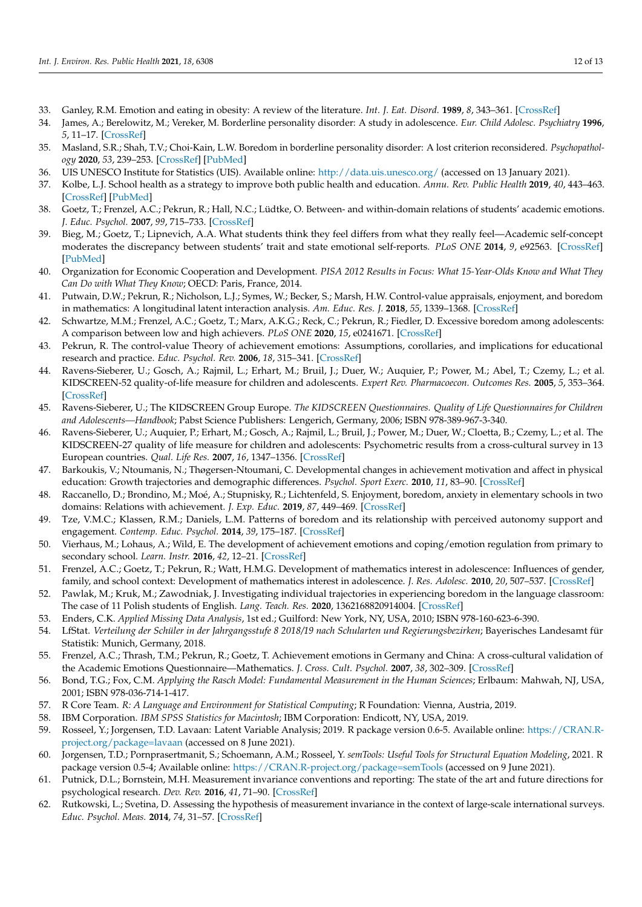- <span id="page-11-0"></span>33. Ganley, R.M. Emotion and eating in obesity: A review of the literature. *Int. J. Eat. Disord.* **1989**, *8*, 343–361. [\[CrossRef\]](http://doi.org/10.1002/1098-108X(198905)8:3<343::AID-EAT2260080310>3.0.CO;2-C)
- <span id="page-11-1"></span>34. James, A.; Berelowitz, M.; Vereker, M. Borderline personality disorder: A study in adolescence. *Eur. Child Adolesc. Psychiatry* **1996**, *5*, 11–17. [\[CrossRef\]](http://doi.org/10.1007/BF00708209)
- <span id="page-11-2"></span>35. Masland, S.R.; Shah, T.V.; Choi-Kain, L.W. Boredom in borderline personality disorder: A lost criterion reconsidered. *Psychopathology* **2020**, *53*, 239–253. [\[CrossRef\]](http://doi.org/10.1159/000511312) [\[PubMed\]](http://www.ncbi.nlm.nih.gov/pubmed/33166987)
- <span id="page-11-3"></span>36. UIS UNESCO Institute for Statistics (UIS). Available online: <http://data.uis.unesco.org/> (accessed on 13 January 2021).
- <span id="page-11-4"></span>37. Kolbe, L.J. School health as a strategy to improve both public health and education. *Annu. Rev. Public Health* **2019**, *40*, 443–463. [\[CrossRef\]](http://doi.org/10.1146/annurev-publhealth-040218-043727) [\[PubMed\]](http://www.ncbi.nlm.nih.gov/pubmed/30566386)
- <span id="page-11-5"></span>38. Goetz, T.; Frenzel, A.C.; Pekrun, R.; Hall, N.C.; Lüdtke, O. Between- and within-domain relations of students' academic emotions. *J. Educ. Psychol.* **2007**, *99*, 715–733. [\[CrossRef\]](http://doi.org/10.1037/0022-0663.99.4.715)
- <span id="page-11-6"></span>39. Bieg, M.; Goetz, T.; Lipnevich, A.A. What students think they feel differs from what they really feel—Academic self-concept moderates the discrepancy between students' trait and state emotional self-reports. *PLoS ONE* **2014**, *9*, e92563. [\[CrossRef\]](http://doi.org/10.1371/journal.pone.0092563) [\[PubMed\]](http://www.ncbi.nlm.nih.gov/pubmed/24647760)
- <span id="page-11-7"></span>40. Organization for Economic Cooperation and Development. *PISA 2012 Results in Focus: What 15-Year-Olds Know and What They Can Do with What They Know*; OECD: Paris, France, 2014.
- <span id="page-11-8"></span>41. Putwain, D.W.; Pekrun, R.; Nicholson, L.J.; Symes, W.; Becker, S.; Marsh, H.W. Control-value appraisals, enjoyment, and boredom in mathematics: A longitudinal latent interaction analysis. *Am. Educ. Res. J.* **2018**, *55*, 1339–1368. [\[CrossRef\]](http://doi.org/10.3102/0002831218786689)
- <span id="page-11-9"></span>42. Schwartze, M.M.; Frenzel, A.C.; Goetz, T.; Marx, A.K.G.; Reck, C.; Pekrun, R.; Fiedler, D. Excessive boredom among adolescents: A comparison between low and high achievers. *PLoS ONE* **2020**, *15*, e0241671. [\[CrossRef\]](http://doi.org/10.1371/journal.pone.0241671)
- <span id="page-11-10"></span>43. Pekrun, R. The control-value Theory of achievement emotions: Assumptions, corollaries, and implications for educational research and practice. *Educ. Psychol. Rev.* **2006**, *18*, 315–341. [\[CrossRef\]](http://doi.org/10.1007/s10648-006-9029-9)
- <span id="page-11-11"></span>44. Ravens-Sieberer, U.; Gosch, A.; Rajmil, L.; Erhart, M.; Bruil, J.; Duer, W.; Auquier, P.; Power, M.; Abel, T.; Czemy, L.; et al. KIDSCREEN-52 quality-of-life measure for children and adolescents. *Expert Rev. Pharmacoecon. Outcomes Res.* **2005**, *5*, 353–364. [\[CrossRef\]](http://doi.org/10.1586/14737167.5.3.353)
- <span id="page-11-12"></span>45. Ravens-Sieberer, U.; The KIDSCREEN Group Europe. *The KIDSCREEN Questionnaires. Quality of Life Questionnaires for Children and Adolescents—Handbook*; Pabst Science Publishers: Lengerich, Germany, 2006; ISBN 978-389-967-3-340.
- <span id="page-11-13"></span>46. Ravens-Sieberer, U.; Auquier, P.; Erhart, M.; Gosch, A.; Rajmil, L.; Bruil, J.; Power, M.; Duer, W.; Cloetta, B.; Czemy, L.; et al. The KIDSCREEN-27 quality of life measure for children and adolescents: Psychometric results from a cross-cultural survey in 13 European countries. *Qual. Life Res.* **2007**, *16*, 1347–1356. [\[CrossRef\]](http://doi.org/10.1007/s11136-007-9240-2)
- <span id="page-11-14"></span>47. Barkoukis, V.; Ntoumanis, N.; Thøgersen-Ntoumani, C. Developmental changes in achievement motivation and affect in physical education: Growth trajectories and demographic differences. *Psychol. Sport Exerc.* **2010**, *11*, 83–90. [\[CrossRef\]](http://doi.org/10.1016/j.psychsport.2009.04.008)
- 48. Raccanello, D.; Brondino, M.; Moé, A.; Stupnisky, R.; Lichtenfeld, S. Enjoyment, boredom, anxiety in elementary schools in two domains: Relations with achievement. *J. Exp. Educ.* **2019**, *87*, 449–469. [\[CrossRef\]](http://doi.org/10.1080/00220973.2018.1448747)
- <span id="page-11-15"></span>49. Tze, V.M.C.; Klassen, R.M.; Daniels, L.M. Patterns of boredom and its relationship with perceived autonomy support and engagement. *Contemp. Educ. Psychol.* **2014**, *39*, 175–187. [\[CrossRef\]](http://doi.org/10.1016/j.cedpsych.2014.05.001)
- <span id="page-11-16"></span>50. Vierhaus, M.; Lohaus, A.; Wild, E. The development of achievement emotions and coping/emotion regulation from primary to secondary school. *Learn. Instr.* **2016**, *42*, 12–21. [\[CrossRef\]](http://doi.org/10.1016/j.learninstruc.2015.11.002)
- <span id="page-11-17"></span>51. Frenzel, A.C.; Goetz, T.; Pekrun, R.; Watt, H.M.G. Development of mathematics interest in adolescence: Influences of gender, family, and school context: Development of mathematics interest in adolescence. *J. Res. Adolesc.* **2010**, *20*, 507–537. [\[CrossRef\]](http://doi.org/10.1111/j.1532-7795.2010.00645.x)
- <span id="page-11-18"></span>52. Pawlak, M.; Kruk, M.; Zawodniak, J. Investigating individual trajectories in experiencing boredom in the language classroom: The case of 11 Polish students of English. *Lang. Teach. Res.* **2020**, 1362168820914004. [\[CrossRef\]](http://doi.org/10.1177/1362168820914004)
- <span id="page-11-19"></span>53. Enders, C.K. *Applied Missing Data Analysis*, 1st ed.; Guilford: New York, NY, USA, 2010; ISBN 978-160-623-6-390.
- <span id="page-11-20"></span>54. LfStat. *Verteilung der Schüler in der Jahrgangsstufe 8 2018/19 nach Schularten und Regierungsbezirken*; Bayerisches Landesamt für Statistik: Munich, Germany, 2018.
- <span id="page-11-21"></span>55. Frenzel, A.C.; Thrash, T.M.; Pekrun, R.; Goetz, T. Achievement emotions in Germany and China: A cross-cultural validation of the Academic Emotions Questionnaire—Mathematics. *J. Cross. Cult. Psychol.* **2007**, *38*, 302–309. [\[CrossRef\]](http://doi.org/10.1177/0022022107300276)
- <span id="page-11-22"></span>56. Bond, T.G.; Fox, C.M. *Applying the Rasch Model: Fundamental Measurement in the Human Sciences*; Erlbaum: Mahwah, NJ, USA, 2001; ISBN 978-036-714-1-417.
- <span id="page-11-23"></span>57. R Core Team. *R: A Language and Environment for Statistical Computing*; R Foundation: Vienna, Austria, 2019.
- <span id="page-11-24"></span>58. IBM Corporation. *IBM SPSS Statistics for Macintosh*; IBM Corporation: Endicott, NY, USA, 2019.
- <span id="page-11-25"></span>59. Rosseel, Y.; Jorgensen, T.D. Lavaan: Latent Variable Analysis; 2019. R package version 0.6-5. Available online: [https://CRAN.R](https://CRAN.R-project.org/package=lavaan)[project.org/package=lavaan](https://CRAN.R-project.org/package=lavaan) (accessed on 8 June 2021).
- <span id="page-11-26"></span>60. Jorgensen, T.D.; Pornprasertmanit, S.; Schoemann, A.M.; Rosseel, Y. *semTools: Useful Tools for Structural Equation Modeling*, 2021. R package version 0.5-4; Available online: <https://CRAN.R-project.org/package=semTools> (accessed on 9 June 2021).
- <span id="page-11-27"></span>61. Putnick, D.L.; Bornstein, M.H. Measurement invariance conventions and reporting: The state of the art and future directions for psychological research. *Dev. Rev.* **2016**, *41*, 71–90. [\[CrossRef\]](http://doi.org/10.1016/j.dr.2016.06.004)
- 62. Rutkowski, L.; Svetina, D. Assessing the hypothesis of measurement invariance in the context of large-scale international surveys. *Educ. Psychol. Meas.* **2014**, *74*, 31–57. [\[CrossRef\]](http://doi.org/10.1177/0013164413498257)